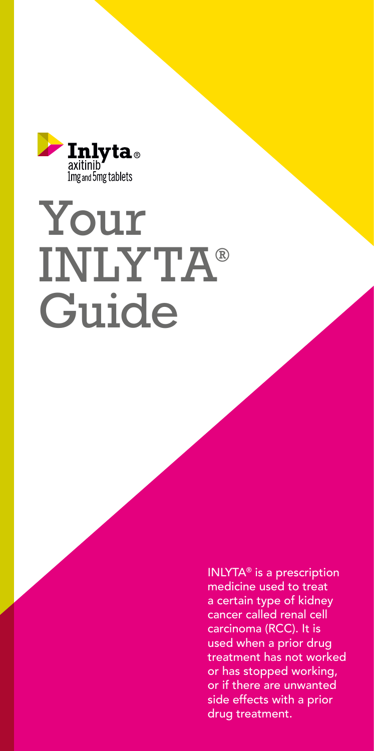

# Your INLYTA® Guide

INLYTA® is a prescription medicine used to treat a certain type of kidney cancer called renal cell carcinoma (RCC). It is used when a prior drug treatment has not worked or has stopped working, or if there are unwanted side effects with a prior drug treatment.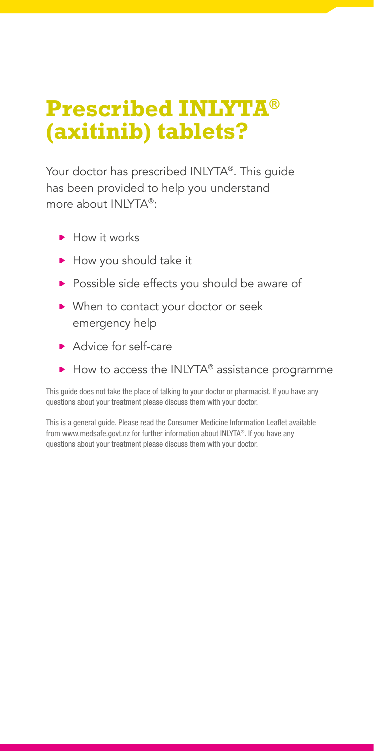# **Prescribed INLYTA® (axitinib) tablets?**

Your doctor has prescribed INLYTA®. This guide has been provided to help you understand more about INLYTA®:

- How it works
- How you should take it
- **Possible side effects you should be aware of**
- ▶ When to contact your doctor or seek emergency help
- Advice for self-care
- $\blacktriangleright$  How to access the INLYTA® assistance programme

This guide does not take the place of talking to your doctor or pharmacist. If you have any questions about your treatment please discuss them with your doctor.

This is a general guide. Please read the Consumer Medicine Information Leaflet available from www.medsafe.govt.nz for further information about INLYTA®. If you have any questions about your treatment please discuss them with your doctor.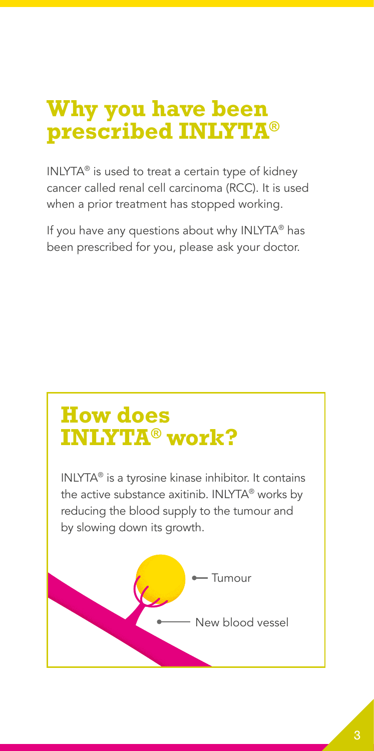### **Why you have been prescribed INLYTA®**

INLYTA® is used to treat a certain type of kidney cancer called renal cell carcinoma (RCC). It is used when a prior treatment has stopped working.

If you have any questions about why INLYTA® has been prescribed for you, please ask your doctor.

# **How does INLYTA® work?**

INLYTA® is a tyrosine kinase inhibitor. It contains the active substance axitinib. INLYTA® works by reducing the blood supply to the tumour and by slowing down its growth.

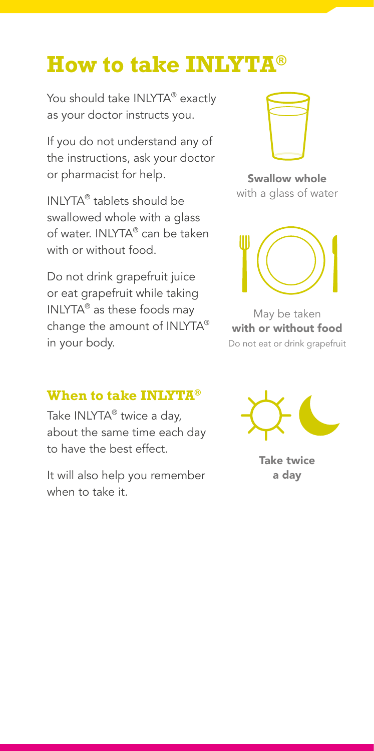## **How to take INLYTA®**

You should take INLYTA® exactly as your doctor instructs you.

If you do not understand any of the instructions, ask your doctor or pharmacist for help.

INLYTA® tablets should be swallowed whole with a glass of water. INLYTA® can be taken with or without food.

Do not drink grapefruit juice or eat grapefruit while taking INLYTA® as these foods may change the amount of INLYTA® in your body.

#### **When to take INLYTA®**

Take INLYTA<sup>®</sup> twice a day, about the same time each day to have the best effect.

It will also help you remember when to take it.



Swallow whole with a glass of water



May be taken with or without food Do not eat or drink grapefruit



Take twice a day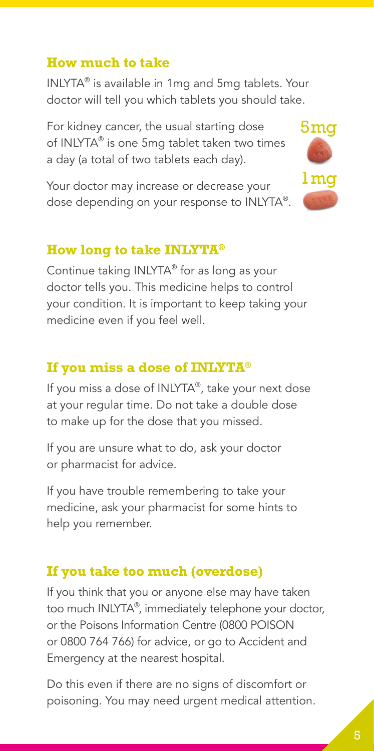#### **How much to take**

INLYTA® is available in 1mg and 5mg tablets. Your doctor will tell you which tablets you should take.

For kidney cancer, the usual starting dose of INLYTA® is one 5mg tablet taken two times a day (a total of two tablets each day).

Your doctor may increase or decrease your dose depending on your response to INLYTA®.



#### **How long to take INLYTA®**

Continue taking INLYTA® for as long as your doctor tells you. This medicine helps to control your condition. It is important to keep taking your medicine even if you feel well.

#### **If you miss a dose of INLYTA®**

If you miss a dose of INLYTA®, take your next dose at your regular time. Do not take a double dose to make up for the dose that you missed.

If you are unsure what to do, ask your doctor or pharmacist for advice.

If you have trouble remembering to take your medicine, ask your pharmacist for some hints to help you remember.

#### **If you take too much (overdose)**

If you think that you or anyone else may have taken too much INLYTA® , immediately telephone your doctor, or the Poisons Information Centre (0800 POISON or 0800 764 766) for advice, or go to Accident and Emergency at the nearest hospital.

Do this even if there are no signs of discomfort or poisoning. You may need urgent medical attention.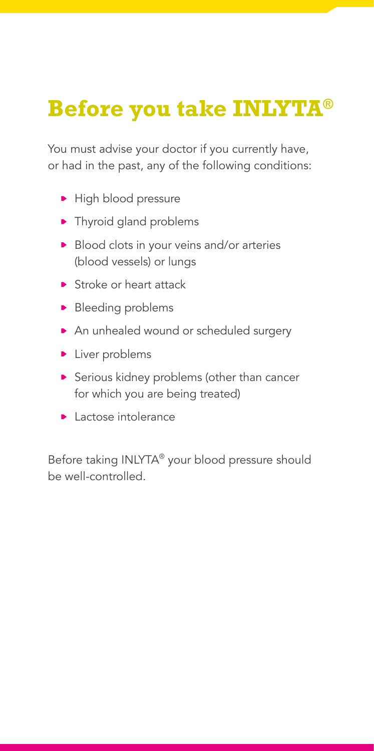# **Before you take INLYTA®**

You must advise your doctor if you currently have, or had in the past, any of the following conditions:

- High blood pressure
- Thyroid gland problems
- Blood clots in your veins and/or arteries (blood vessels) or lungs
- **Stroke or heart attack**
- **Bleeding problems**
- An unhealed wound or scheduled surgery
- **Liver problems**
- Serious kidney problems (other than cancer for which you are being treated)
- **Lactose intolerance**

Before taking INLYTA® your blood pressure should be well-controlled.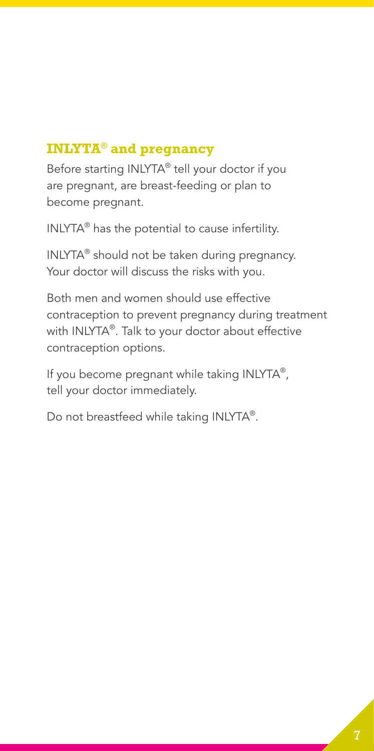#### **INLYTA® and pregnancy**

Before starting INLYTA® tell your doctor if you are pregnant, are breast-feeding or plan to become pregnant.

INLYTA® has the potential to cause infertility.

INLYTA® should not be taken during pregnancy. Your doctor will discuss the risks with you.

Both men and women should use effective contraception to prevent pregnancy during treatment with INLYTA®. Talk to your doctor about effective contraception options.

If you become pregnant while taking INLYTA®, tell your doctor immediately.

Do not breastfeed while taking INLYTA®.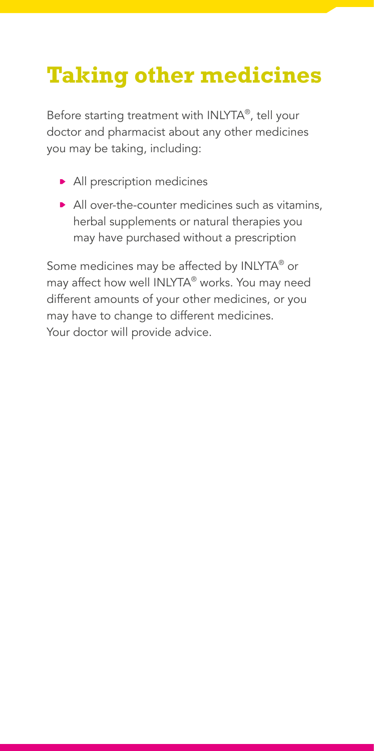# **Taking other medicines**

Before starting treatment with INLYTA®, tell your doctor and pharmacist about any other medicines you may be taking, including:

- All prescription medicines
- All over-the-counter medicines such as vitamins, herbal supplements or natural therapies you may have purchased without a prescription

Some medicines may be affected by INLYTA® or may affect how well INLYTA® works. You may need different amounts of your other medicines, or you may have to change to different medicines. Your doctor will provide advice.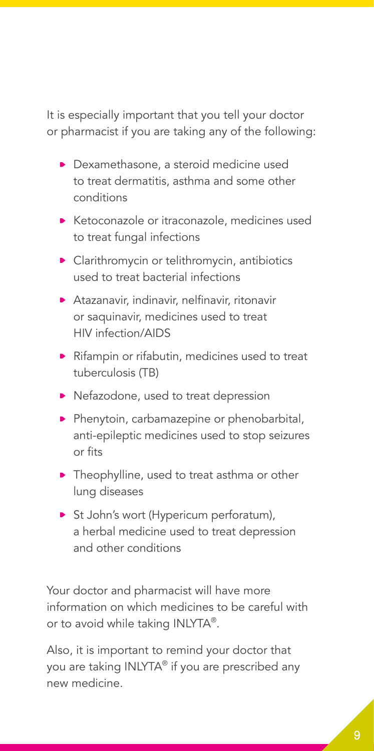It is especially important that you tell your doctor or pharmacist if you are taking any of the following:

- **Dexamethasone, a steroid medicine used** to treat dermatitis, asthma and some other conditions
- **Ketoconazole or itraconazole, medicines used** to treat fungal infections
- **Clarithromycin or telithromycin, antibiotics** used to treat bacterial infections
- Atazanavir, indinavir, nelfinavir, ritonavir or saquinavir, medicines used to treat HIV infection/AIDS
- Rifampin or rifabutin, medicines used to treat tuberculosis (TB)
- Nefazodone, used to treat depression
- Phenytoin, carbamazepine or phenobarbital, anti-epileptic medicines used to stop seizures or fits
- **•** Theophylline, used to treat asthma or other lung diseases
- St John's wort (Hypericum perforatum), a herbal medicine used to treat depression and other conditions

Your doctor and pharmacist will have more information on which medicines to be careful with or to avoid while taking INLYTA®.

Also, it is important to remind your doctor that you are taking INLYTA® if you are prescribed any new medicine.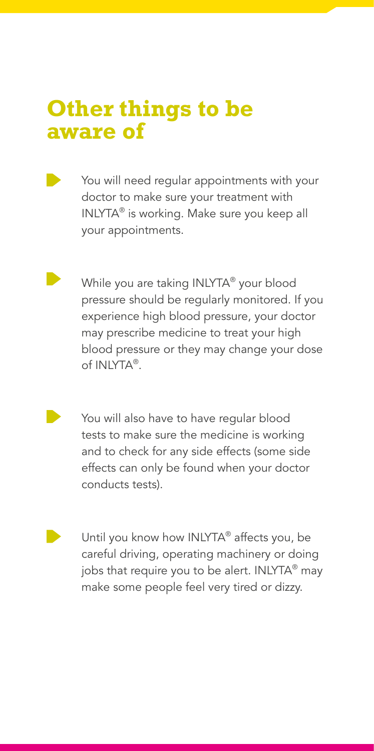### **Other things to be aware of**

- You will need regular appointments with your doctor to make sure your treatment with INLYTA® is working. Make sure you keep all your appointments.
	- While you are taking INLYTA® your blood pressure should be regularly monitored. If you experience high blood pressure, your doctor may prescribe medicine to treat your high blood pressure or they may change your dose of INLYTA®.
	- You will also have to have regular blood tests to make sure the medicine is working and to check for any side effects (some side effects can only be found when your doctor conducts tests).
		- Until you know how INLYTA® affects you, be careful driving, operating machinery or doing jobs that require you to be alert. INLYTA<sup>®</sup> may make some people feel very tired or dizzy.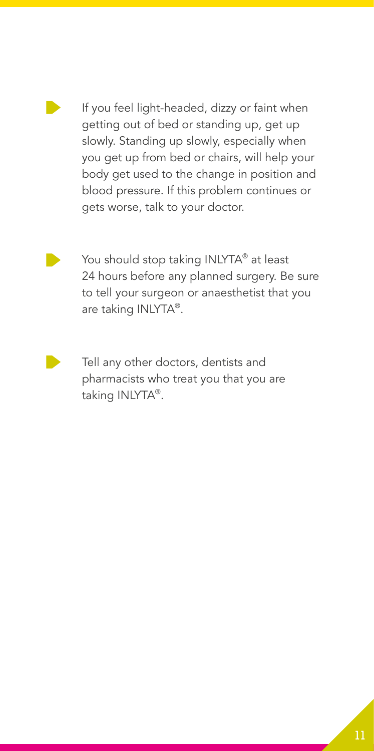

If you feel light-headed, dizzy or faint when getting out of bed or standing up, get up slowly. Standing up slowly, especially when you get up from bed or chairs, will help your body get used to the change in position and blood pressure. If this problem continues or gets worse, talk to your doctor.



You should stop taking INLYTA® at least 24 hours before any planned surgery. Be sure to tell your surgeon or anaesthetist that you are taking INLYTA®.



Tell any other doctors, dentists and pharmacists who treat you that you are taking INLYTA®.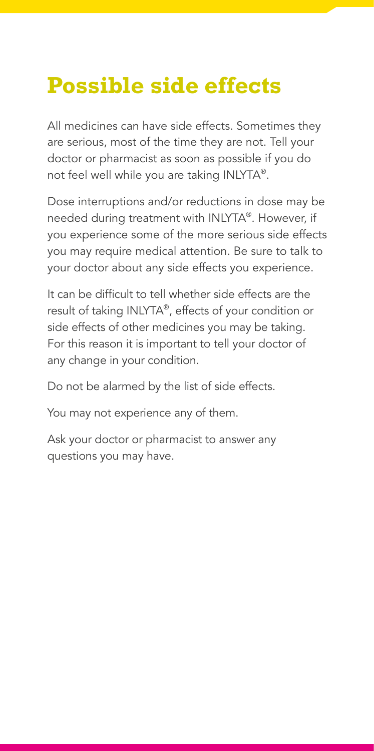# **Possible side effects**

All medicines can have side effects. Sometimes they are serious, most of the time they are not. Tell your doctor or pharmacist as soon as possible if you do not feel well while you are taking INLYTA®.

Dose interruptions and/or reductions in dose may be needed during treatment with INLYTA®. However, if you experience some of the more serious side effects you may require medical attention. Be sure to talk to your doctor about any side effects you experience.

It can be difficult to tell whether side effects are the result of taking INLYTA®, effects of your condition or side effects of other medicines you may be taking. For this reason it is important to tell your doctor of any change in your condition.

Do not be alarmed by the list of side effects.

You may not experience any of them.

Ask your doctor or pharmacist to answer any questions you may have.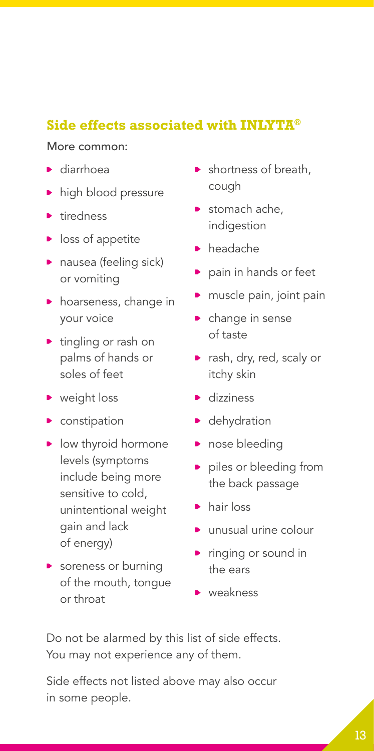#### **Side effects associated with INLYTA®**

#### More common:

- ▶ diarrhoea
- high blood pressure
- **tiredness**
- $\blacktriangleright$  loss of appetite
- nausea (feeling sick) or vomiting
- **h** hoarseness, change in your voice
- **tingling or rash on** palms of hands or soles of feet
- veight loss
- **•** constipation
- low thyroid hormone levels (symptoms include being more sensitive to cold, unintentional weight gain and lack of energy)
- **Soreness or burning** of the mouth, tongue or throat
- **•** shortness of breath, cough
- stomach ache, indigestion
- headache
- **pain in hands or feet**
- muscle pain, joint pain
- **•** change in sense of taste
- **P** rash, dry, red, scaly or itchy skin
- dizziness
- **•** dehydration
- nose bleeding
- **P** piles or bleeding from the back passage
- hair loss
- ▶ unusual urine colour
- **P** ringing or sound in the ears
- **weakness**

Do not be alarmed by this list of side effects. You may not experience any of them.

Side effects not listed above may also occur in some people.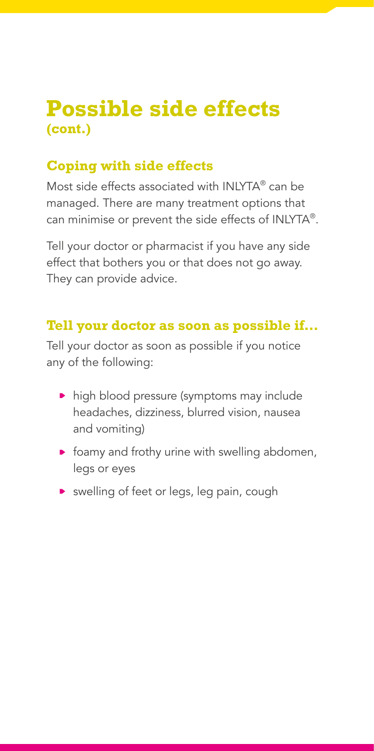### **Possible side effects (cont.)**

#### **Coping with side effects**

Most side effects associated with INLYTA® can be managed. There are many treatment options that can minimise or prevent the side effects of INLYTA®.

Tell your doctor or pharmacist if you have any side effect that bothers you or that does not go away. They can provide advice.

#### **Tell your doctor as soon as possible if…**

Tell your doctor as soon as possible if you notice any of the following:

- high blood pressure (symptoms may include headaches, dizziness, blurred vision, nausea and vomiting)
- $\triangleright$  foamy and frothy urine with swelling abdomen, legs or eyes
- **D** swelling of feet or legs, leg pain, cough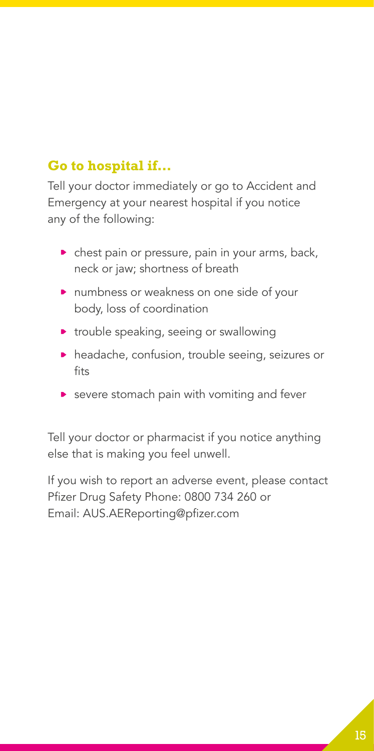#### **Go to hospital if…**

Tell your doctor immediately or go to Accident and Emergency at your nearest hospital if you notice any of the following:

- $\triangleright$  chest pain or pressure, pain in your arms, back, neck or jaw; shortness of breath
- **numbness or weakness on one side of your** body, loss of coordination
- **•** trouble speaking, seeing or swallowing
- **headache, confusion, trouble seeing, seizures or** fits
- **>** severe stomach pain with vomiting and fever

Tell your doctor or pharmacist if you notice anything else that is making you feel unwell.

If you wish to report an adverse event, please contact Pfizer Drug Safety Phone: 0800 734 260 or Email: AUS.AEReporting@pfizer.com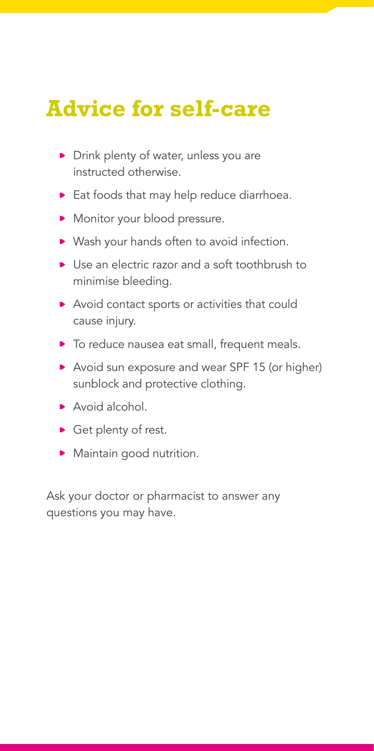# **Advice for self-care**

- Drink plenty of water, unless you are instructed otherwise.
- Eat foods that may help reduce diarrhoea.
- Monitor your blood pressure.
- ▶ Wash your hands often to avoid infection.
- ▶ Use an electric razor and a soft toothbrush to minimise bleeding.
- Avoid contact sports or activities that could cause injury.
- $\triangleright$  To reduce nausea eat small, frequent meals.
- Avoid sun exposure and wear SPF 15 (or higher) sunblock and protective clothing.
- ▶ Avoid alcohol.
- Get plenty of rest.
- Maintain good nutrition.

Ask your doctor or pharmacist to answer any questions you may have.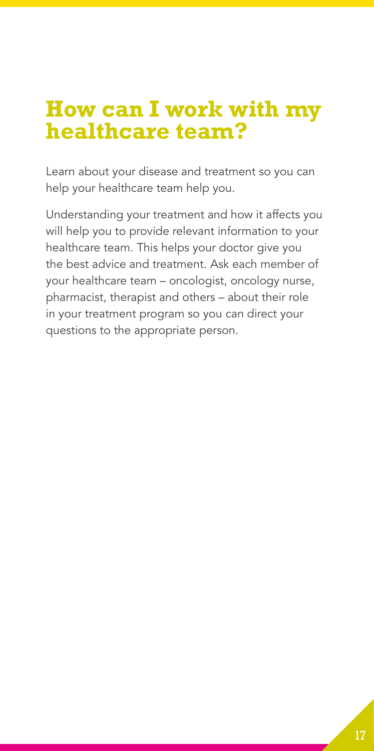# **How can I work with my healthcare team?**

Learn about your disease and treatment so you can help your healthcare team help you.

Understanding your treatment and how it affects you will help you to provide relevant information to your healthcare team. This helps your doctor give you the best advice and treatment. Ask each member of your healthcare team – oncologist, oncology nurse, pharmacist, therapist and others – about their role in your treatment program so you can direct your questions to the appropriate person.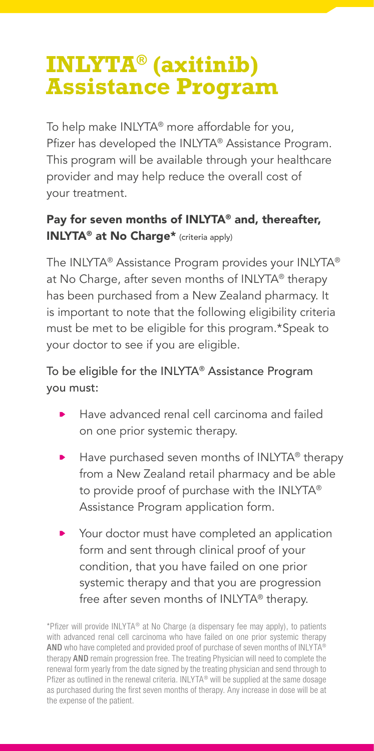## **INLYTA® (axitinib) Assistance Program**

To help make INLYTA® more affordable for you, Pfizer has developed the INLYTA® Assistance Program. This program will be available through your healthcare provider and may help reduce the overall cost of your treatment.

#### Pay for seven months of INLYTA® and, thereafter, INLYTA® at No Charge\* (criteria apply)

The INLYTA® Assistance Program provides your INLYTA® at No Charge, after seven months of INLYTA® therapy has been purchased from a New Zealand pharmacy. It is important to note that the following eligibility criteria must be met to be eligible for this program.\*Speak to your doctor to see if you are eligible.

#### To be eligible for the INLYTA® Assistance Program you must:

- Have advanced renal cell carcinoma and failed on one prior systemic therapy.
- Have purchased seven months of INLYTA® therapy from a New Zealand retail pharmacy and be able to provide proof of purchase with the INLYTA® Assistance Program application form.
- Your doctor must have completed an application form and sent through clinical proof of your condition, that you have failed on one prior systemic therapy and that you are progression free after seven months of INLYTA® therapy.

<sup>\*</sup>Pfizer will provide INLYTA® at No Charge (a dispensary fee may apply), to patients with advanced renal cell carcinoma who have failed on one prior systemic therapy AND who have completed and provided proof of purchase of seven months of INLYTA® therapy AND remain progression free. The treating Physician will need to complete the renewal form yearly from the date signed by the treating physician and send through to Pfizer as outlined in the renewal criteria. INLYTA® will be supplied at the same dosage as purchased during the first seven months of therapy. Any increase in dose will be at the expense of the patient.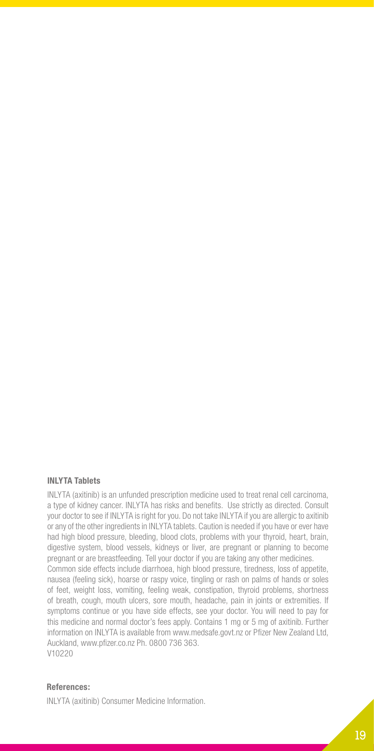#### **INLYTA Tablets**

INLYTA (axitinib) is an unfunded prescription medicine used to treat renal cell carcinoma, a type of kidney cancer. INLYTA has risks and benefits. Use strictly as directed. Consult your doctor to see if INLYTA is right for you. Do not take INLYTA if you are allergic to axitinib or any of the other ingredients in INLYTA tablets. Caution is needed if you have or ever have had high blood pressure, bleeding, blood clots, problems with your thyroid, heart, brain, digestive system, blood vessels, kidneys or liver, are pregnant or planning to become pregnant or are breastfeeding. Tell your doctor if you are taking any other medicines. Common side effects include diarrhoea, high blood pressure, tiredness, loss of appetite, nausea (feeling sick), hoarse or raspy voice, tingling or rash on palms of hands or soles of feet, weight loss, vomiting, feeling weak, constipation, thyroid problems, shortness of breath, cough, mouth ulcers, sore mouth, headache, pain in joints or extremities. If symptoms continue or you have side effects, see your doctor. You will need to pay for this medicine and normal doctor's fees apply. Contains 1 mg or 5 mg of axitinib. Further information on INLYTA is available from www.medsafe.govt.nz or Pfizer New Zealand Ltd, Auckland, www.pfizer.co.nz Ph. 0800 736 363. V10220

#### **References:**

INLYTA (axitinib) Consumer Medicine Information.